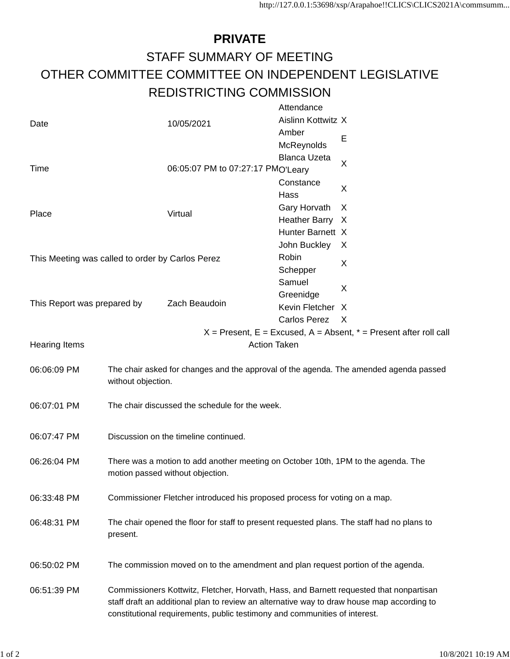## **PRIVATE** STAFF SUMMARY OF MEETING OTHER COMMITTEE COMMITTEE ON INDEPENDENT LEGISLATIVE REDISTRICTING COMMISSION

|                                                                                                  |                                                                                                             |                                                | Attendance          |                                                                       |  |
|--------------------------------------------------------------------------------------------------|-------------------------------------------------------------------------------------------------------------|------------------------------------------------|---------------------|-----------------------------------------------------------------------|--|
| Date                                                                                             |                                                                                                             | 10/05/2021                                     | Aislinn Kottwitz X  |                                                                       |  |
|                                                                                                  |                                                                                                             |                                                | Amber               |                                                                       |  |
|                                                                                                  |                                                                                                             |                                                | McReynolds          | Е                                                                     |  |
|                                                                                                  |                                                                                                             |                                                | <b>Blanca Uzeta</b> |                                                                       |  |
| Time                                                                                             |                                                                                                             | 06:05:07 PM to 07:27:17 PMO'Leary<br>Constance |                     | X                                                                     |  |
|                                                                                                  |                                                                                                             |                                                |                     |                                                                       |  |
|                                                                                                  |                                                                                                             |                                                | Hass                | X                                                                     |  |
| Place                                                                                            |                                                                                                             | Virtual                                        | Gary Horvath        | X                                                                     |  |
|                                                                                                  |                                                                                                             |                                                | Heather Barry X     |                                                                       |  |
|                                                                                                  |                                                                                                             |                                                | Hunter Barnett X    |                                                                       |  |
|                                                                                                  |                                                                                                             |                                                | John Buckley        | X                                                                     |  |
| This Meeting was called to order by Carlos Perez                                                 |                                                                                                             |                                                | Robin               |                                                                       |  |
|                                                                                                  |                                                                                                             |                                                | Schepper            | X                                                                     |  |
|                                                                                                  |                                                                                                             |                                                | Samuel              |                                                                       |  |
|                                                                                                  |                                                                                                             |                                                | Greenidge           | X                                                                     |  |
| This Report was prepared by                                                                      |                                                                                                             | Zach Beaudoin                                  | Kevin Fletcher X    |                                                                       |  |
|                                                                                                  |                                                                                                             |                                                | Carlos Perez        | $\mathsf{X}$                                                          |  |
|                                                                                                  |                                                                                                             |                                                |                     | $X =$ Present, E = Excused, A = Absent, $* =$ Present after roll call |  |
| <b>Action Taken</b><br><b>Hearing Items</b>                                                      |                                                                                                             |                                                |                     |                                                                       |  |
|                                                                                                  |                                                                                                             |                                                |                     |                                                                       |  |
| 06:06:09 PM                                                                                      | The chair asked for changes and the approval of the agenda. The amended agenda passed<br>without objection. |                                                |                     |                                                                       |  |
|                                                                                                  |                                                                                                             |                                                |                     |                                                                       |  |
| 06:07:01 PM                                                                                      | The chair discussed the schedule for the week.                                                              |                                                |                     |                                                                       |  |
|                                                                                                  |                                                                                                             |                                                |                     |                                                                       |  |
|                                                                                                  |                                                                                                             |                                                |                     |                                                                       |  |
| 06:07:47 PM                                                                                      | Discussion on the timeline continued.                                                                       |                                                |                     |                                                                       |  |
|                                                                                                  |                                                                                                             |                                                |                     |                                                                       |  |
| There was a motion to add another meeting on October 10th, 1PM to the agenda. The<br>06:26:04 PM |                                                                                                             |                                                |                     |                                                                       |  |
|                                                                                                  | motion passed without objection.                                                                            |                                                |                     |                                                                       |  |
|                                                                                                  |                                                                                                             |                                                |                     |                                                                       |  |
| 06:33:48 PM                                                                                      | Commissioner Fletcher introduced his proposed process for voting on a map.                                  |                                                |                     |                                                                       |  |
| 06:48:31 PM                                                                                      | The chair opened the floor for staff to present requested plans. The staff had no plans to                  |                                                |                     |                                                                       |  |
|                                                                                                  | present.                                                                                                    |                                                |                     |                                                                       |  |
|                                                                                                  |                                                                                                             |                                                |                     |                                                                       |  |
|                                                                                                  |                                                                                                             |                                                |                     |                                                                       |  |
| 06:50:02 PM                                                                                      | The commission moved on to the amendment and plan request portion of the agenda.                            |                                                |                     |                                                                       |  |
|                                                                                                  |                                                                                                             |                                                |                     |                                                                       |  |
| 06:51:39 PM                                                                                      | Commissioners Kottwitz, Fletcher, Horvath, Hass, and Barnett requested that nonpartisan                     |                                                |                     |                                                                       |  |
|                                                                                                  | staff draft an additional plan to review an alternative way to draw house map according to                  |                                                |                     |                                                                       |  |
|                                                                                                  | constitutional requirements, public testimony and communities of interest.                                  |                                                |                     |                                                                       |  |